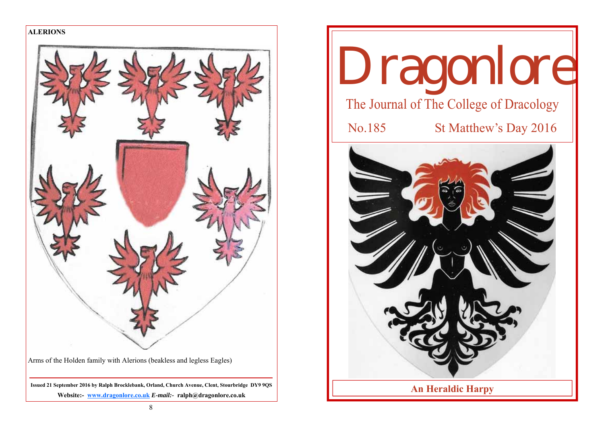

Arms of the Holden family with Alerions (beakless and legless Eagles)

**Issued 21 September 2016 by Ralph Brocklebank, Orland, Church Avenue, Clent, Stourbridge DY9 9QS Website:- www.dragonlore.co.uk** *E-mail:-* **ralph@dragonlore.co.uk**

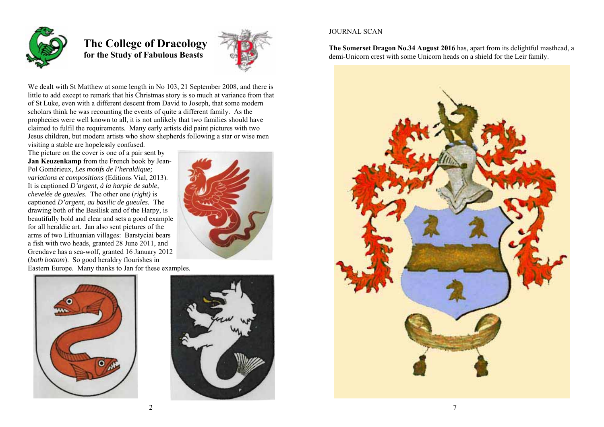

 **The College of Dracology for the Study of Fabulous Beasts** 



We dealt with St Matthew at some length in No 103, 21 September 2008, and there is little to add except to remark that his Christmas story is so much at variance from that of St Luke, even with a different descent from David to Joseph, that some modern scholars think he was recounting the events of quite a different family. As the prophecies were well known to all, it is not unlikely that two families should have claimed to fulfil the requirements. Many early artists did paint pictures with two Jesus children, but modern artists who show shepherds following a star or wise men visiting a stable are hopelessly confused.

The picture on the cover is one of a pair sent by **Jan Keuzenkamp** from the French book by Jean-Pol Gomérieux, *Les motifs de l'heraldique; variations et compositions* (Editions Vial, 2013). It is captioned *D'argent, á la harpie de sable, chevelée de gueules*. The other one (*right)* is captioned *D'argent, au basilic de gueules.* The drawing both of the Basilisk and of the Harpy, is beautifully bold and clear and sets a good example for all heraldic art. Jan also sent pictures of the arms of two Lithuanian villages: Barstyciai bears a fish with two heads, granted 28 June 2011, and Grendave has a sea-wolf, granted 16 January 2012 (*both bottom*). So good heraldry flourishes in Eastern Europe. Many thanks to Jan for these examples.







# JOURNAL SCAN

**The Somerset Dragon No.34 August 2016** has, apart from its delightful masthead, a demi-Unicorn crest with some Unicorn heads on a shield for the Leir family.

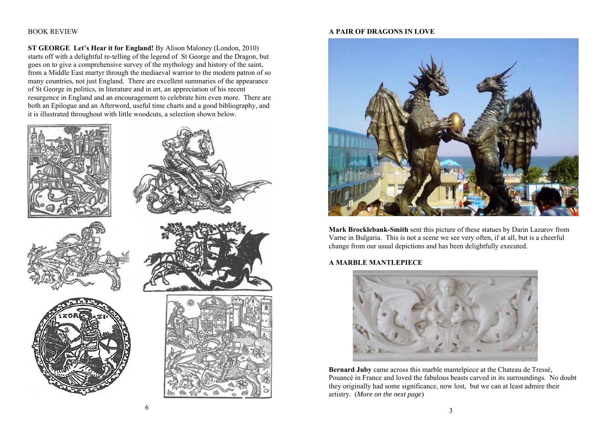## BOOK REVIEW

**ST GEORGE Let's Hear it for England!** By Alison Maloney (London, 2010) starts off with a delightful re-telling of the legend of St George and the Dragon, but goes on to give a comprehensive survey of the mythology and history of the saint, from a Middle East martyr through the mediaeval warrior to the modern patron of so many countries, not just England. There are excellent summaries of the appearance of St George in politics, in literature and in art, an appreciation of his recent resurgence in England and an encouragement to celebrate him even more. There are both an Epilogue and an Afterword, useful time charts and a good bibliography, and it is illustrated throughout with little woodcuts, a selection shown below.



#### **A PAIR OF DRAGONS IN LOVE**



**Mark Brocklebank-Smith** sent this picture of these statues by Darin Lazarov from Varne in Bulgaria. This is not a scene we see very often, if at all, but is a cheerful change from our usual depictions and has been delightfully executed.

# **A MARBLE MANTLEPIECE**



**Bernard Juby** came across this marble mantelpiece at the Chateau de Tressé, Pouancé in France and loved the fabulous beasts carved in its surroundings. No doubt they originally had some significance, now lost, but we can at least admire their artistry. (*More on the next page*)